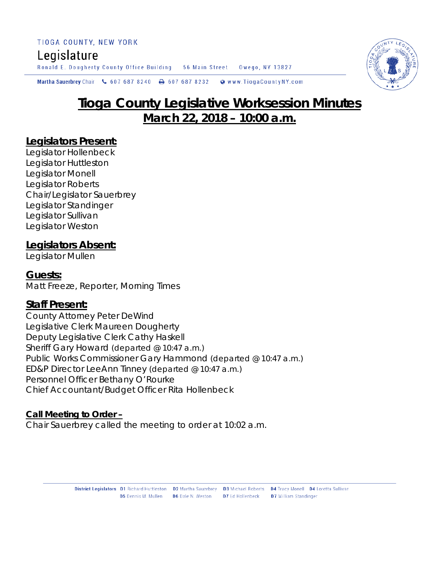# Legislature

Ronald E. Dougherty County Office Building 56 Main Street Owego, NY 13827

Martha Sauerbrey Chair & 607 687 8240 **a** 607 687 8232 Www.TiogaCountyNY.com

# **Tioga County Legislative Worksession Minutes March 22, 2018 – 10:00 a.m.**

## **Legislators Present:**

Legislator Hollenbeck Legislator Huttleston Legislator Monell Legislator Roberts Chair/Legislator Sauerbrey Legislator Standinger Legislator Sullivan Legislator Weston

# **Legislators Absent:**

Legislator Mullen

## **Guests:**

Matt Freeze, Reporter, Morning Times

# **Staff Present:**

County Attorney Peter DeWind Legislative Clerk Maureen Dougherty Deputy Legislative Clerk Cathy Haskell Sheriff Gary Howard *(departed @ 10:47 a.m.)* Public Works Commissioner Gary Hammond *(departed @ 10:47 a.m.)* ED&P Director LeeAnn Tinney *(departed @ 10:47 a.m.)* Personnel Officer Bethany O'Rourke Chief Accountant/Budget Officer Rita Hollenbeck

#### **Call Meeting to Order –**

Chair Sauerbrey called the meeting to order at 10:02 a.m.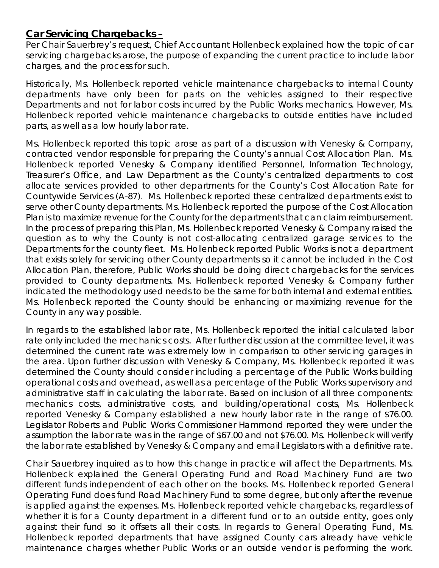## **Car Servicing Chargebacks –**

Per Chair Sauerbrey's request, Chief Accountant Hollenbeck explained how the topic of car servicing chargebacks arose, the purpose of expanding the current practice to include labor charges, and the process for such.

Historically, Ms. Hollenbeck reported vehicle maintenance chargebacks to internal County departments have only been for parts on the vehicles assigned to their respective Departments and not for labor costs incurred by the Public Works mechanics. However, Ms. Hollenbeck reported vehicle maintenance chargebacks to outside entities have included parts, as well as a low hourly labor rate.

Ms. Hollenbeck reported this topic arose as part of a discussion with Venesky & Company, contracted vendor responsible for preparing the County's annual Cost Allocation Plan. Ms. Hollenbeck reported Venesky & Company identified Personnel, Information Technology, Treasurer's Office, and Law Department as the County's centralized departments to cost allocate services provided to other departments for the County's Cost Allocation Rate for Countywide Services (A-87). Ms. Hollenbeck reported these centralized departments exist to serve other County departments. Ms. Hollenbeck reported the purpose of the Cost Allocation Plan is to maximize revenue for the County for the departments that can claim reimbursement. In the process of preparing this Plan, Ms. Hollenbeck reported Venesky & Company raised the question as to why the County is not cost-allocating centralized garage services to the Departments for the county fleet. Ms. Hollenbeck reported Public Works is not a department that exists solely for servicing other County departments so it cannot be included in the Cost Allocation Plan, therefore, Public Works should be doing direct chargebacks for the services provided to County departments. Ms. Hollenbeck reported Venesky & Company further indicated the methodology used needs to be the same for both internal and external entities. Ms. Hollenbeck reported the County should be enhancing or maximizing revenue for the County in any way possible.

In regards to the established labor rate, Ms. Hollenbeck reported the initial calculated labor rate only included the mechanics costs. After further discussion at the committee level, it was determined the current rate was extremely low in comparison to other servicing garages in the area. Upon further discussion with Venesky & Company, Ms. Hollenbeck reported it was determined the County should consider including a percentage of the Public Works building operational costs and overhead, as well as a percentage of the Public Works supervisory and administrative staff in calculating the labor rate. Based on inclusion of all three components: mechanics costs, administrative costs, and building/operational costs, Ms. Hollenbeck reported Venesky & Company established a new hourly labor rate in the range of \$76.00. Legislator Roberts and Public Works Commissioner Hammond reported they were under the assumption the labor rate was in the range of \$67.00 and not \$76.00. Ms. Hollenbeck will verify the labor rate established by Venesky & Company and email Legislators with a definitive rate.

Chair Sauerbrey inquired as to how this change in practice will affect the Departments. Ms. Hollenbeck explained the General Operating Fund and Road Machinery Fund are two different funds independent of each other on the books. Ms. Hollenbeck reported General Operating Fund does fund Road Machinery Fund to some degree, but only after the revenue is applied against the expenses. Ms. Hollenbeck reported vehicle chargebacks, regardless of whether it is for a County department in a different fund or to an outside entity, goes only against their fund so it offsets all their costs. In regards to General Operating Fund, Ms. Hollenbeck reported departments that have assigned County cars already have vehicle maintenance charges whether Public Works or an outside vendor is performing the work.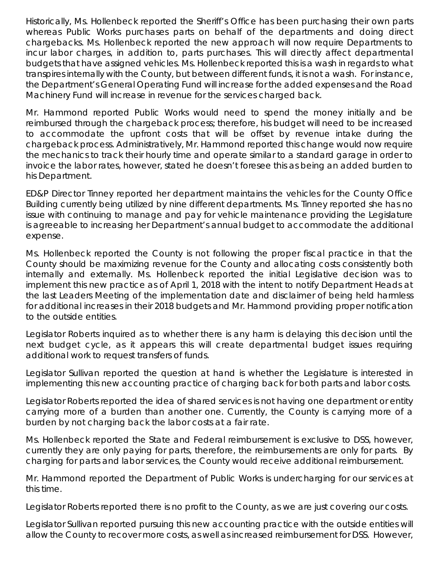Historically, Ms. Hollenbeck reported the Sheriff's Office has been purchasing their own parts whereas Public Works purchases parts on behalf of the departments and doing direct chargebacks. Ms. Hollenbeck reported the new approach will now require Departments to incur labor charges, in addition to, parts purchases. This will directly affect departmental budgets that have assigned vehicles. Ms. Hollenbeck reported this is a wash in regards to what transpires internally with the County, but between different funds, it is not a wash. For instance, the Department's General Operating Fund will increase for the added expenses and the Road Machinery Fund will increase in revenue for the services charged back.

Mr. Hammond reported Public Works would need to spend the money initially and be reimbursed through the chargeback process; therefore, his budget will need to be increased to accommodate the upfront costs that will be offset by revenue intake during the chargeback process. Administratively, Mr. Hammond reported this change would now require the mechanics to track their hourly time and operate similar to a standard garage in order to invoice the labor rates, however, stated he doesn't foresee this as being an added burden to his Department.

ED&P Director Tinney reported her department maintains the vehicles for the County Office Building currently being utilized by nine different departments. Ms. Tinney reported she has no issue with continuing to manage and pay for vehicle maintenance providing the Legislature is agreeable to increasing her Department's annual budget to accommodate the additional expense.

Ms. Hollenbeck reported the County is not following the proper fiscal practice in that the County should be maximizing revenue for the County and allocating costs consistently both internally and externally. Ms. Hollenbeck reported the initial Legislative decision was to implement this new practice as of April 1, 2018 with the intent to notify Department Heads at the last Leaders Meeting of the implementation date and disclaimer of being held harmless for additional increases in their 2018 budgets and Mr. Hammond providing proper notification to the outside entities.

Legislator Roberts inquired as to whether there is any harm is delaying this decision until the next budget cycle, as it appears this will create departmental budget issues requiring additional work to request transfers of funds.

Legislator Sullivan reported the question at hand is whether the Legislature is interested in implementing this new accounting practice of charging back for both parts and labor costs.

Legislator Roberts reported the idea of shared services is not having one department or entity carrying more of a burden than another one. Currently, the County is carrying more of a burden by not charging back the labor costs at a fair rate.

Ms. Hollenbeck reported the State and Federal reimbursement is exclusive to DSS, however, currently they are only paying for parts, therefore, the reimbursements are only for parts. By charging for parts and labor services, the County would receive additional reimbursement.

Mr. Hammond reported the Department of Public Works is undercharging for our services at this time.

Legislator Roberts reported there is no profit to the County, as we are just covering our costs.

Legislator Sullivan reported pursuing this new accounting practice with the outside entities will allow the County to recover more costs, as well as increased reimbursement for DSS. However,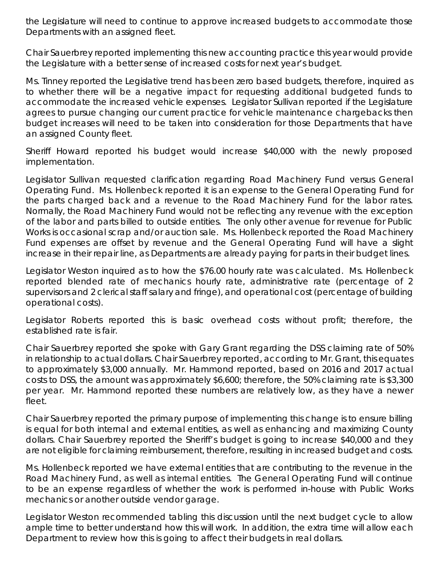the Legislature will need to continue to approve increased budgets to accommodate those Departments with an assigned fleet.

Chair Sauerbrey reported implementing this new accounting practice this year would provide the Legislature with a better sense of increased costs for next year's budget.

Ms. Tinney reported the Legislative trend has been zero based budgets, therefore, inquired as to whether there will be a negative impact for requesting additional budgeted funds to accommodate the increased vehicle expenses. Legislator Sullivan reported if the Legislature agrees to pursue changing our current practice for vehicle maintenance chargebacks then budget increases will need to be taken into consideration for those Departments that have an assigned County fleet.

Sheriff Howard reported his budget would increase \$40,000 with the newly proposed implementation.

Legislator Sullivan requested clarification regarding Road Machinery Fund versus General Operating Fund. Ms. Hollenbeck reported it is an expense to the General Operating Fund for the parts charged back and a revenue to the Road Machinery Fund for the labor rates. Normally, the Road Machinery Fund would not be reflecting any revenue with the exception of the labor and parts billed to outside entities. The only other avenue for revenue for Public Works is occasional scrap and/or auction sale. Ms. Hollenbeck reported the Road Machinery Fund expenses are offset by revenue and the General Operating Fund will have a slight increase in their repair line, as Departments are already paying for parts in their budget lines.

Legislator Weston inquired as to how the \$76.00 hourly rate was calculated. Ms. Hollenbeck reported blended rate of mechanics hourly rate, administrative rate (percentage of 2 supervisors and 2 clerical staff salary and fringe), and operational cost (percentage of building operational costs).

Legislator Roberts reported this is basic overhead costs without profit; therefore, the established rate is fair.

Chair Sauerbrey reported she spoke with Gary Grant regarding the DSS claiming rate of 50% in relationship to actual dollars. Chair Sauerbrey reported, according to Mr. Grant, this equates to approximately \$3,000 annually. Mr. Hammond reported, based on 2016 and 2017 actual costs to DSS, the amount was approximately \$6,600; therefore, the 50% claiming rate is \$3,300 per year. Mr. Hammond reported these numbers are relatively low, as they have a newer fleet.

Chair Sauerbrey reported the primary purpose of implementing this change is to ensure billing is equal for both internal and external entities, as well as enhancing and maximizing County dollars. Chair Sauerbrey reported the Sheriff's budget is going to increase \$40,000 and they are not eligible for claiming reimbursement, therefore, resulting in increased budget and costs.

Ms. Hollenbeck reported we have external entities that are contributing to the revenue in the Road Machinery Fund, as well as internal entities. The General Operating Fund will continue to be an expense regardless of whether the work is performed in-house with Public Works mechanics or another outside vendor garage.

Legislator Weston recommended tabling this discussion until the next budget cycle to allow ample time to better understand how this will work. In addition, the extra time will allow each Department to review how this is going to affect their budgets in real dollars.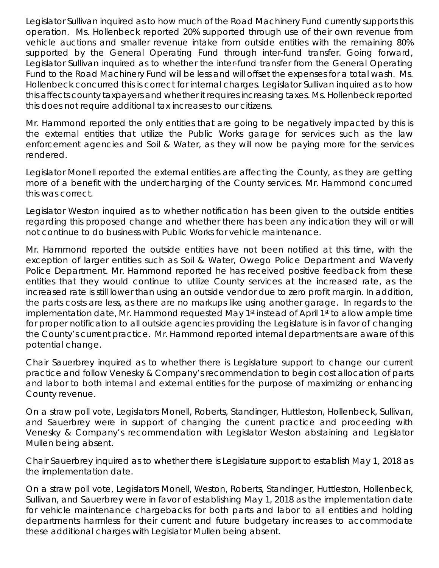Legislator Sullivan inquired as to how much of the Road Machinery Fund currently supports this operation. Ms. Hollenbeck reported 20% supported through use of their own revenue from vehicle auctions and smaller revenue intake from outside entities with the remaining 80% supported by the General Operating Fund through inter-fund transfer. Going forward, Legislator Sullivan inquired as to whether the inter-fund transfer from the General Operating Fund to the Road Machinery Fund will be less and will offset the expenses for a total wash. Ms. Hollenbeck concurred this is correct for internal charges. Legislator Sullivan inquired as to how this affects county taxpayers and whether it requires increasing taxes. Ms. Hollenbeck reported this does not require additional tax increases to our citizens.

Mr. Hammond reported the only entities that are going to be negatively impacted by this is the external entities that utilize the Public Works garage for services such as the law enforcement agencies and Soil & Water, as they will now be paying more for the services rendered.

Legislator Monell reported the external entities are affecting the County, as they are getting more of a benefit with the undercharging of the County services. Mr. Hammond concurred this was correct.

Legislator Weston inquired as to whether notification has been given to the outside entities regarding this proposed change and whether there has been any indication they will or will not continue to do business with Public Works for vehicle maintenance.

Mr. Hammond reported the outside entities have not been notified at this time, with the exception of larger entities such as Soil & Water, Owego Police Department and Waverly Police Department. Mr. Hammond reported he has received positive feedback from these entities that they would continue to utilize County services at the increased rate, as the increased rate is still lower than using an outside vendor due to zero profit margin. In addition, the parts costs are less, as there are no markups like using another garage. In regards to the implementation date, Mr. Hammond requested May 1st instead of April 1st to allow ample time for proper notification to all outside agencies providing the Legislature is in favor of changing the County's current practice. Mr. Hammond reported internal departments are aware of this potential change.

Chair Sauerbrey inquired as to whether there is Legislature support to change our current practice and follow Venesky & Company's recommendation to begin cost allocation of parts and labor to both internal and external entities for the purpose of maximizing or enhancing County revenue.

On a straw poll vote, Legislators Monell, Roberts, Standinger, Huttleston, Hollenbeck, Sullivan, and Sauerbrey were in support of changing the current practice and proceeding with Venesky & Company's recommendation with Legislator Weston abstaining and Legislator Mullen being absent.

Chair Sauerbrey inquired as to whether there is Legislature support to establish May 1, 2018 as the implementation date.

On a straw poll vote, Legislators Monell, Weston, Roberts, Standinger, Huttleston, Hollenbeck, Sullivan, and Sauerbrey were in favor of establishing May 1, 2018 as the implementation date for vehicle maintenance chargebacks for both parts and labor to all entities and holding departments harmless for their current and future budgetary increases to accommodate these additional charges with Legislator Mullen being absent.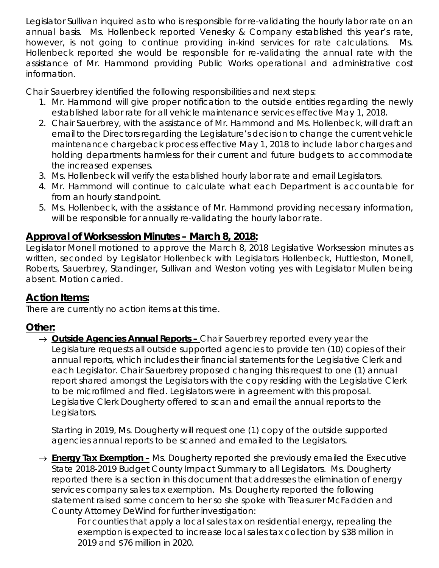Legislator Sullivan inquired as to who is responsible for re-validating the hourly labor rate on an annual basis. Ms. Hollenbeck reported Venesky & Company established this year's rate, however, is not going to continue providing in-kind services for rate calculations. Ms. Hollenbeck reported she would be responsible for re-validating the annual rate with the assistance of Mr. Hammond providing Public Works operational and administrative cost information.

Chair Sauerbrey identified the following responsibilities and next steps:

- 1. Mr. Hammond will give proper notification to the outside entities regarding the newly established labor rate for all vehicle maintenance services effective May 1, 2018.
- 2. Chair Sauerbrey, with the assistance of Mr. Hammond and Ms. Hollenbeck, will draft an email to the Directors regarding the Legislature's decision to change the current vehicle maintenance chargeback process effective May 1, 2018 to include labor charges and holding departments harmless for their current and future budgets to accommodate the increased expenses.
- 3. Ms. Hollenbeck will verify the established hourly labor rate and email Legislators.
- 4. Mr. Hammond will continue to calculate what each Department is accountable for from an hourly standpoint.
- 5. Ms. Hollenbeck, with the assistance of Mr. Hammond providing necessary information, will be responsible for annually re-validating the hourly labor rate.

# **Approval of Worksession Minutes – March 8, 2018:**

Legislator Monell motioned to approve the March 8, 2018 Legislative Worksession minutes as written, seconded by Legislator Hollenbeck with Legislators Hollenbeck, Huttleston, Monell, Roberts, Sauerbrey, Standinger, Sullivan and Weston voting yes with Legislator Mullen being absent. Motion carried.

# **Action Items:**

There are currently no action items at this time.

# **Other:**

→ *Outside Agencies Annual Reports –* Chair Sauerbrey reported every year the Legislature requests all outside supported agencies to provide ten (10) copies of their annual reports, which includes their financial statements for the Legislative Clerk and each Legislator. Chair Sauerbrey proposed changing this request to one (1) annual report shared amongst the Legislators with the copy residing with the Legislative Clerk to be microfilmed and filed. Legislators were in agreement with this proposal. Legislative Clerk Dougherty offered to scan and email the annual reports to the Legislators.

Starting in 2019, Ms. Dougherty will request one (1) copy of the outside supported agencies annual reports to be scanned and emailed to the Legislators.

→ *Energy Tax Exemption* **–** Ms. Dougherty reported she previously emailed the Executive State 2018-2019 Budget County Impact Summary to all Legislators. Ms. Dougherty reported there is a section in this document that addresses the elimination of energy services company sales tax exemption. Ms. Dougherty reported the following statement raised some concern to her so she spoke with Treasurer McFadden and County Attorney DeWind for further investigation:

*For counties that apply a local sales tax on residential energy, repealing the exemption is expected to increase local sales tax collection by \$38 million in 2019 and \$76 million in 2020.*